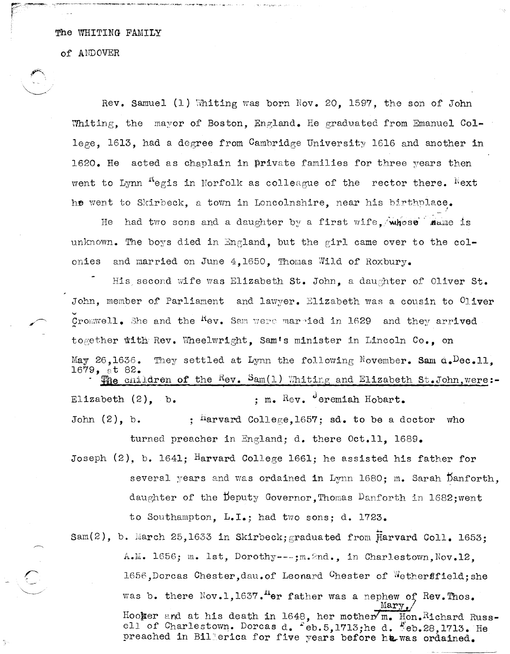#### of ANDOVER

Rev. Samuel (1) Whiting was born Nov. 20. 1597, the son of John Whiting, the mayor of Boston, England. He graduated from Emanuel College, 1613, had a degree from Cambridge University 1616 and another in 1620. He acted as chaplain in private families for three years then went to Lynn <sup>n</sup>egis in Norfolk as colleague of the rector there. Next he went to Skirbeck, a town in Loncolnshire, near his birtholace.

had two sons and a daughter by a first wife. whose mame is He unknown. The boys died in England, but the girl came over to the colonies and married on June 4.1650. Thomas Wild of Roxbury.

His second wife was Elizabeth St. John, a daughter of Oliver St. John, member of Parliament and lawyer. Elizabeth was a cousin to Oliver Cromwell. She and the <sup>K</sup>ev. Sam were marpied in 1629 and they arrived together with Rev. Wheelwright, Sam's minister in Lincoln Co., on They settled at Lynn the following November. Sam  $\bar{a}_\bullet$ Dec.11.  $\text{May } 26,1636.$ 1679, at 82. :  $m_e$   $ReV_e$  deremiah Hobart. Elizabeth  $(2)$ . b. John  $(2)$ , b. ;  $<sup>h</sup>$ arvard College, 1657; sd. to be a doctor</sup> who

Joseph  $(2)$ , b. 1641; Harvard College 1661; he assisted his father for several years and was ordained in Lynn 1680; m. Sarah Danforth, daughter of the Deputy Governor, Thomas Danforth in 1682; went to Southampton, L.I.; had two sons; d. 1723.

turned preacher in England; d. there Oct.11, 1689.

Sam(2), b. March 25,1633 in Skirbeck; graduated from Harvard Coll. 1653: A.M. 1656; m. lst, Dorothy ---; m. 2nd., in Charlestown, Nov. 12, 1656, Dorcas Chester, dau. of Leonard Chester of Wethersfield; she was b. there Nov.1, 1637.<sup>H</sup>er father was a nephew of Rev. Thos. Marv Hooker and at his death in 1648, her mother m. Hon. Richard Russell of Charlestown. Dorcas d. Feb.5,1713; he d. "eb.28,1713. He preached in Billerica for five years before he was ordained.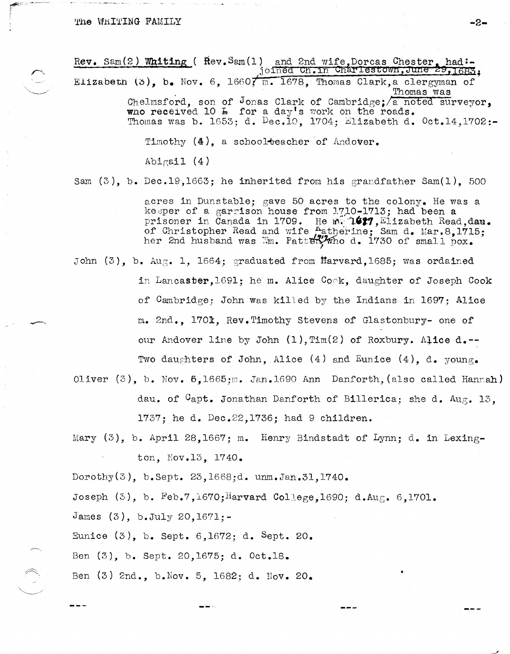Rev. Sam(2) Whiting ( Rev. Sam(1) and 2nd wife, Dorcas Chester, had:-<br>joined Ch. in Charlestown, June 29, 1683, Elizabeth (5). b. Nov. 6. 16607 m. 1678, Thomas Clark, a clergyman of

Thomas was Chelmsford, son of Jonas Clark of Cambridge; a noted surveyor, who received 10 L for a day's work on the roads.<br>Thomas was b. 1653; d. Dec.10, 1704; Elizabeth d. Oct.14,1702:-

Timothy (4), a schoolteacher of Andover.

Abigail  $(4)$ 

Sam  $(3)$ , b. Dec.19.1663; he inherited from his grandfather Sam $(1)$ . 500

acres in Dunstable; gave 50 acres to the colony. He was a keeper of a garrison house from 1710-1713; had been a prisoner in Canada in 1709. He m. 1627, Elizabeth Read, dan.<br>of Christopher Read and wife Aatherine; Sam d. Mar.8, 1715;<br>her 2nd husband was Wm. Pattery who d. 1730 of small pox.

John (3), b. Aug. 1, 1664; graduated from Harvard. 1685; was ordained

in Lancaster, 1691; he m. Alice Cook, daughter of Joseph Cook of Cambridge; John was killed by the Indians in 1697; Alice m. 2nd. 1701. Rev. Timothy Stevens of Glastonbury- one of our Andover line by John (1), Tim(2) of Roxbury. Alice d.--Two daughters of John, Alice  $(4)$  and Eunice  $(4)$ , d. young.

- Oliver  $(3)$ , b. Nov.  $5.1665$ :m. Jan.1690 Ann Danforth, (also called Hannah) dau. of Capt. Jonathan Danforth of Billerica; she d. Aug. 13. 1737; he d. Dec. 22, 1736; had 9 children.
- Mary  $(3)$ , b. April 28,1667; m. Henry Bindstadt of Lynn; d. in Lexington. Nov. 13. 1740.

Dorothy $(3)$ , b.Sept. 23,1668;d. unm.Jan.31,1740.

Joseph  $(3)$ , b. Feb.7,1670; Harvard College, 1690; d. Aug. 6,1701.

James  $(3)$ , b.July 20,1671;-

Eunice (3), b. Sept. 6,1672; d. Sept. 20.

Ben (3), b. Sept. 20,1675; d. Oct.18.

Ben (3) 2nd., b. Nov. 5, 1682; d. Nov. 20.

 $-2-$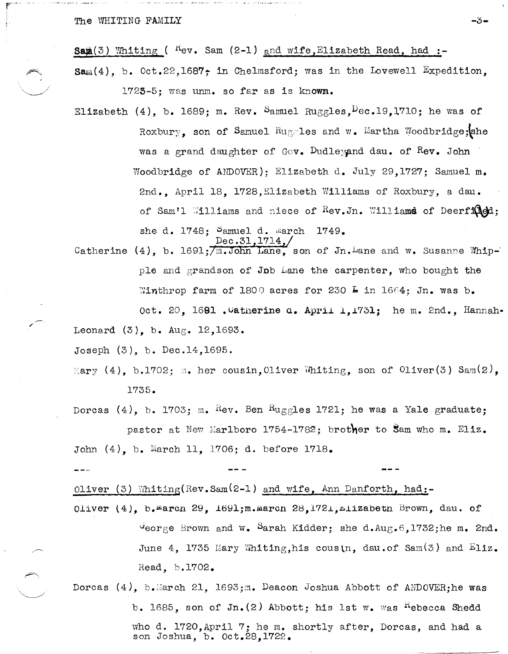Sam $(3)$  Whiting (<sup>K</sup>ev. Sam  $(2-1)$  and wife, Elizabeth Read, had :-

 $\texttt{Sam}(4)$ , b. 0ct.22,1687; in Chelmsford; was in the Lovewell Expedition. 1723-5; was unm. so far as is known.

-3-

Elizabeth (4), b. 1689; m. Rev. Samuel Ruggles,  $Dec.19.1710$ ; he was of Roxbury, son of Samuel Ruggles and w. Martha Woodbridge; she was a grand daughter of Gov. Dudleyand dau. of Rev. John Woodbridge of ANDOVER): Elizabeth d. July 29,1727; Samuel m. 2nd., April 18, 1728, Elizabeth Williams of Roxbury, a dau. of Sam'l Williams and niece of Rev.Jn. Williams of Deerfined; she d.  $1748$ ; Samuel d. March 1749.

Dec.31, 1714,/ Catherine (4), b. 1691;  $\overline{m}$ . John Lane, son of Jn. Lane and w. Susanne Whipple and grandson of Job Lane the carpenter, who bought the Winthrop farm of 1800 acres for 230  $\frac{1}{2}$  in 1664; Jn. was b. Oct. 20, 1691. Uatherine a. April 1, 1731; he m. 2nd., Hannah-Leonard  $(3)$ , b. Aug. 12, 1693.

Joseph  $(3)$ , b. Dec.14,1695.

Mary (4), b.1702; m. her cousin, Oliver Whiting, son of Oliver(3) Sam(2), 1735.

Dorcas (4), b. 1703; m.  $\frac{R}{V}$ . Ben  $\frac{R}{V}$ uggles 1721; he was a Yale graduate; pastor at New Marlboro 1754-1782; brother to Sam who m. Eliz. John (4), b. March 11, 1706; d. before 1718.

Oliver (3) Whiting(Rev.Sam(2-1) and wife, Ann Danforth, had:-

Oliver  $(4)$ , b. march 29, 1691; m. march 28, 1721, milizabeth Brown, dau. of  $\sigma$ eorge Brown and w. Sarah Kidder; she d.Aug.6,1732;he m. 2nd. June 4. 1735 Mary Whiting, his cousin, dau.of Sam $(3)$  and  $E$ liz. Read. b.1702.

Dorcas  $(4)$ , b.March 21, 1693;m. Deacon Joshua Abbott of ANDOVER; he was b. 1685, son of Jn. (2) Abbott; his 1st w. was "ebecca Shedd" who d. 1720, April 7; he m. shortly after, Dorcas, and had a son Joshua, b. Oct.28,1722.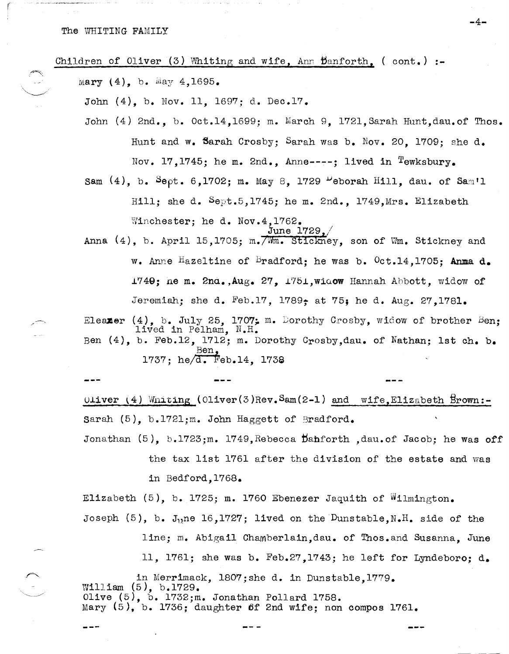....



-4-

Oliver (4) Whiting (Oliver(3) Rev.  $Sam(2-1)$  and wife. Elizabeth Brown:-Sarah  $(5)$ , b.1721; m. John Haggett of Bradford.

Jonathan (5), b.1723;m. 1749, Rebecca Dahforth , dau. of Jacob; he was off the tax list 1761 after the division of the estate and was in Bedford, 1768.

Elizabeth (5), b. 1725; m. 1760 Ebenezer Jaquith of Wilmington. Joseph  $(5)$ , b. J<sub>1</sub>,ne 16,1727; lived on the Dunstable, N.H. side of the

line; m. Abigail Chamberlain, dau. of Thos. and Susanna, June

11, 1761; she was b. Feb.27, 1743; he left for Lyndeboro: d.

in Merrimack, 1807; she d. in Dunstable.1779. William  $(5)$ , b.1729. Olive  $(5)$ , b. 1732; m. Jonathan Pollard 1758. Mary  $(5)$ , b. 1736; daughter of 2nd wife; non compos 1761.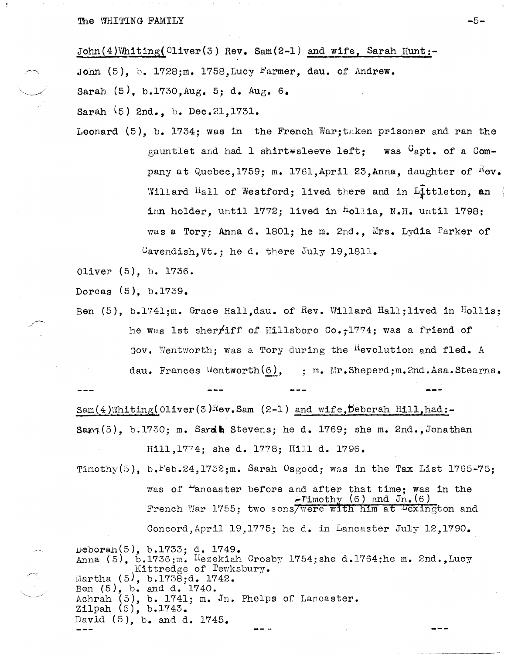John(4)Whiting(Oliver(3) Rev. Sam(2-1) and wife, Sarah Hunt:-

John (5), b. 1728;m. 1758, Lucy Farmer, dau. of Andrew.

Sarah (5), b.1730,Aug. 5; d. Aug. 6.

Sarah (5) 2nd., b. Dec. 21, 1731.

Leonard  $(5)$ , b. 1734; was in the French War; taken prisoner and ran the gauntlet and had 1 shirt¥sleeve left; was  $G$ apt. of a Company at Quebec, 1759; m. 1761, April 23, Anna, daughter of  $^{K}$ ev. Willard  $H$ all of Westford; lived there and in Littleton, an inn holder, until 1772; lived in  $h$ ollia, N.H. until 1798; was a Tory; Anna d. 1801; he m. 2nd., Mrs. Lydia Parker of Cavendish, Vt.; he d. there July 19,1811.

Oliver (5), b. 1736.

Dorcas (5), b.1739.

Ben (5), b.1741;m. Grace Hall,dau. of Rev. Willard Hall;lived in Hollis; he was 1st sherfiff of Hillsboro *00.;1774;* was a friend of Gov. Wentworth; was a Tory during the <sup>R</sup>evolution and fled. A dau. Frances Wentworth $(6)$ , ; m. Mr. Sheperd;m. 2nd. Asa. Stearns.

 $Sam(4)$ Whiting(Oliver(3)Rev.Sam (2-1) and wife,Deborah Hill,had:-Sam $(5)$ , b.1730; m. Sardh Stevens; he d. 1769; she m. 2nd.,Jonathan Hill, 1774; she d. 1778; Hill d. 1796.

Timothy(5), b. Feb.24,1732;m. Sarah Osgood; was in the Tax List 1765-75;

was of "ancaster before and after that time; was in the  $-rimothy$  (6) and  $Jn.(6)$ French War 1755; two sons/were with him at <del>Lexington</del> and 00ncord,Apri1 19,1775; he d. in Lancaster July 12,1790.

ueboran(5), b.1733; d. 1749. Anna (5), b.1736;m. Hezekiah Crosby 1754; she d.1764; he m. 2nd., Lucy Kittredge of Tewksbury. Martha  $(5)$ , b.1738;d. 1742. Ben (5), b. and d. 1740. Achrah (5), b. 1741; m. Jn. Phelps of Lancaster. Zi1pah (5), b.1743. David (5), b. and d. 1745.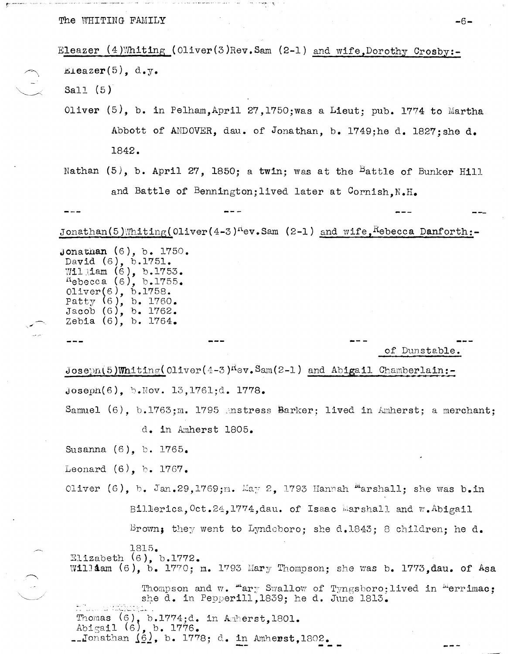Eleazer  $(4)$ Whiting (Oliver(3)Rev.Sam  $(2-1)$  and wife, Dorothy Crosby:- $Eleazer(5)$ , d.y. Sall  $(5)$ Oliver (5), b. in Pelham, April 27, 1750; was a Lieut; pub. 1774 to Martha Abbott of ANDOVER, dau. of Jonathan, b. 1749;he d. 1827;she d. 1842. Nathan (5), b. April 27, 1850; a twin; was at the <sup>B</sup>attle of Bunker Hill and Battle of Bennington; lived later at Cornish, N.H. Jonathan(5)Whiting(0liver(4-3)<sup>n</sup>ev.Sam (2-1) and wife, hebecca Danforth:-**Jonathan**  $(6)$ , b. 1750. David (6), b.1751.<br>William (6), b.1753. Rebecca (6), b.1755. Oliver(6), b.1758.<br>Patty (6), b. 1760. Jacob (6), b. 1762. Zebia  $(6)$ , b. 1764. of Dunstable.  $Joseph(5)$ Whiting(Oliver(4-3)<sup>K</sup>ev.Sam(2-1) and Abigail Chamberlain:- $Joseph(6)$ , b. Nov. 13, 1761;d. 1778. Samuel  $(6)$ , b.1763;m. 1795 mstress Barker; lived in Amherst; a merchant; d. in Amherst 1805. Susanna (6), b. 1765. Leonard  $(6)$ , b. 1767. Oliver (6), b. Jan.29,1769;m. May 2, 1793 Hannah "arshall; she was b.in Billerica, Oct.24, 1774, dau. of Isaac Marshall and w. Abigail Brown; they went to Lyndeboro; she d.1843; 8 children; he d. 1815. Elizabeth  $(6)$ , b.1772. William (6), b. 1770; m. 1793 Mary Thompson; she was b. 1773, dau. of Asa Thompson and w. "ary Swallow of Tyngsboro; lived in "errimac; she d. in Pepperill, 1839; he d. June 1813. Thomas  $(6)$ , b.1774;d. in Amberst.1801. Abigail  $(6)$ , b. 1776.<br>--Jonathan  $\underline{(6)}$ , b. 1778; d. in Amherst, 1802.

-6-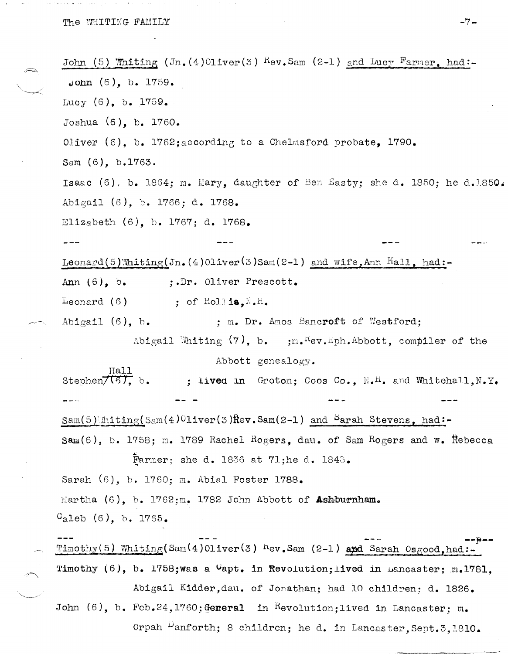John (5) Whiting (Jn. (4) Oliver (3) Rev. Sam (2-1) and Lucy Farmer, had:- $John (6)$ , b. 1759. Lucy  $(6)$ , b. 1759. Joshua  $(6)$ , b. 1760. Oliver (6), b. 1762; according to a Chelmsford probate, 1790. Sam (6), b.1763. Isaac (6), b. 1864; m. Mary, daughter of Ben Easty; she d. 1850; he d.1850. Abigail (6), b. 1766; d. 1768. Elizabeth  $(6)$ , b. 1767; d. 1768. Leonard(5)Whiting(Jn. (4)Oliver(3)Sam(2-1) and wife, Ann Hall, had:-;.Dr. Oliver Prescott. Ann  $(6)$ ,  $b$ . Leonard  $(6)$ ; of Hollia,  $N.H.$ Abigail  $(6)$ , b. ; m. Dr. Amos Bancroft of Westford; Abigail Whiting  $(7)$ , b. ; m. Kev. Eph. Abbott, compiler of the Abbott genealogy.  $\frac{Hall}{(6)}, \frac{Hall}{(6)}, \frac{Hall}{(6)}, \frac{Hall}{(6)}, \frac{Hall}{(6)}, \frac{Hall}{(6)}, \frac{Hall}{(6)}, \frac{Hall}{(6)}, \frac{Hall}{(6)}, \frac{Hall}{(6)}, \frac{Hall}{(6)}, \frac{Hall}{(6)}, \frac{Hall}{(6)}, \frac{Hall}{(6)}, \frac{Hall}{(6)}, \frac{Hall}{(6)}, \frac{Hall}{(6)}, \frac{Hall}{(6)}, \frac{Hall}{(6)}, \frac{Hall}{(6)}, \frac{Hall}{(6)}, \frac{Hall}{(6)}, \frac{Hall}{(6)}, \frac{Hall}{(6)}, \frac{H$ ; lived in Groton; Coos Co.,  $N_{\bullet}H_{\bullet}$  and Whitehall,  $N_{\bullet}Y_{\bullet}$  $\text{Sam}(5)$  Initing(Sam(4)01iver(3) Rev. Sam(2-1) and Sarah Stevens, had:- $\texttt{Sam}(6)$ , b. 1758; m. 1789 Rachel Rogers, dau. of Sam Rogers and w. Rebecca Farmer; she d. 1836 at 71; he d. 1843. Sarah (6), b. 1760; m. Abial Foster 1788. Martha  $(6)$ , b. 1762; m. 1782 John Abbott of Ashburnham.  $C_{a}$ leb (6), b. 1765. Timothy(5) Whiting(Sam(4)Oliver(3)  $\text{Rev}_{\bullet}$ Sam (2-1) and Sarah Osgood, had:-Timothy  $(6)$ , b. 1758; was a  $V$ apt. in Revolution; lived in Lancaster; m.1781, Abigail Kidder, dau. of Jonathan; had 10 children; d. 1826. John  $(6)$ , b. Feb.24,1760; General in Revolution; lived in Lancaster; m. Orpah Danforth; 8 children; he d. in Lancaster, Sept.3, 1810.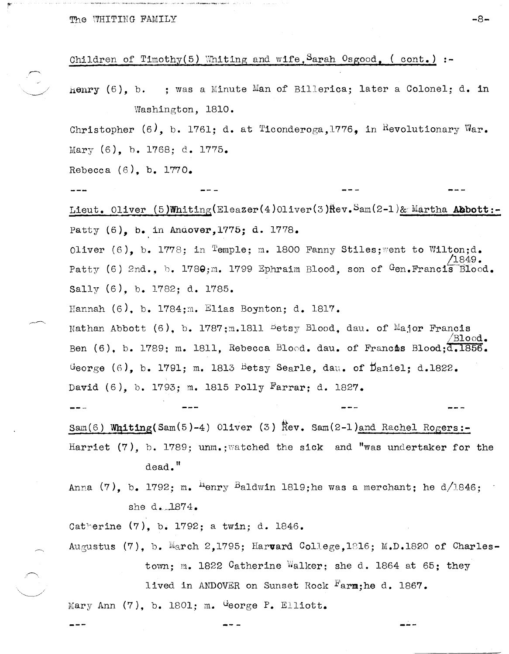## Children of Timothy(5) Whiting and wife, Sarah Osgood, (cont.) :-

 $\text{Henry } (6)$ . b. : was a Minute Man of Billerica; later a Colonel; d. in Washington, 1810.

-8-

Christopher  $(6)$ , b. 1761; d. at Ticonderoga, 1776, in Revolutionary War. Mary (6), b. 1768; d. 1775.

Rebecca  $(6)$ , b. 1770.

Lieut. Oliver (5)Whiting(Eleazer(4)Oliver(3) Hev. Sam(2-1)& Martha Abbott:-Patty (6), b. in Andover, 1775; d. 1778.

Oliver (6), b. 1778; in Temple; m. 1800 Fanny Stiles; went to Wilton; d. Patty (6) 2nd., b. 1789;m. 1799 Ephraim Blood, son of Gen. Francis  $Blood.$ Sally (6), b. 1782; d. 1785.

Hannah  $(6)$ , b. 1784; m. Elias Boynton; d. 1817.

Nathan Abbott (6), b. 1787; m.1811 betsy Blood, dau. of Major Francis Ben (6), b. 1789; m. 1811, Rebecca Blood. dau. of Francis Blood; d. 1856. George (6), b. 1791; m. 1813 Betsy Searle, dau. of Daniel: d.1822. David (6), b. 1793; m. 1815 Polly Farrar: d. 1827.

 $\frac{1}{2}$ 

Sam(6) Whiting(Sam(5)-4) Oliver (3)  $\bar{R}$ ev. Sam(2-1)and Rachel Rogers:-

Harriet  $(7)$ , b. 1789; unm.; vatched the sick and "was undertaker for the dead."

Anna (7), b. 1792; m. <sup>h</sup>enry <sup>B</sup>aldwin 1819; he was a merchant; he d/1846; she d. 1874.

Catherine (7), b. 1792; a twin; d. 1846.

Augustus (7), b. March 2,1795; Harvard College, 1816; M.D.1820 of Charlestown; m. 1822 Catherine Walker; she d. 1864 at 65; they

lived in ANDOVER on Sunset Rock Farm; he d. 1867.

Mary Ann  $(7)$ , b. 1801; m. George P. Elliott.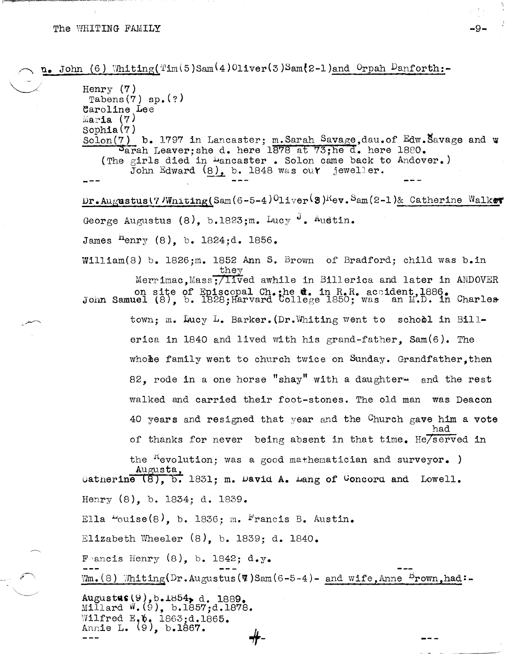$\mathbf{n}_{\bullet}$  John (6) Whiting(Tim(5)Sam(4)Oliver(3)Sam(2-1)and Orpah Danforth:-Henry  $(7)$ Tabens $(7)$  sp. $(?)$ Caroline Lee Maria  $(7)$  $Sophia(7)$ Solon(7) b. 1797 in Lancaster; m. Sarah Savage, dau. of Edw. Savage and w Sarah Leaver; she d. here 1878 at 73; he d. here 1880. (The girls died in Dancaster. Solon came back to Andover.) John Edward (8), b. 1848 was out jeweller. Dr. Augustus(7 Whiting(Sam(6-5-4)<sup>0</sup>liver<sup>(</sup>8)<sup>R</sup>ev. Sam(2-1)& Catherine Walker George Augustus (8), b.1823:m. Lucy d. Austin. James  $^{n}$ enry (8), b. 1824;d. 1856. William(8) b. 1826;m. 1852 Ann S. Brown of Bradford; child was b.in they Merrimac, Mass;/lived awhile in Billerica and later in ANDOVER on site of Episcopal Ch.; he d. in R.R. accident, 1886.<br>John Samuel (8), b. 1828; Harvard College 1850; was an M.D. in Charles town; m. Jucy L. Barker. (Dr. Whiting went to school in Billerica in 1840 and lived with his grand-father,  $Sam(6)$ . The whole family went to church twice on Sunday. Grandfather.then 82, rode in a one horse "shay" with a daughter and the rest walked and carried their foot-stones. The old man was Deacon 40 years and resigned that year and the Church gave him a vote of thanks for never being absent in that time. He/served in the <sup>K</sup>evolution: was a good mathematician and surveyor. ) Augusta, (atherine (8), b. 1831; m. David A. Lang of Concord and Lowell. Henry (8), b. 1834; d. 1839. Ella  $-$ ouise(8), b. 1836; m. Francis B. Austin. Elizabeth Wheeler  $(8)$ , b. 1839; d. 1840. Francis Henry  $(8)$ , b. 1842; d.y.  $Wm_{\bullet}(8)$  Whiting(Dr.Augustus(7)Sam(6-5-4)- and wife, Anne  $B_{\text{rown},h}$  had:-Augustus (9), b.1854, d. 1889. Millard W. (9), b.1857;d.1878. Wilfred E. 0, 1863;d.1865.<br>Annie L. (9), b.1867.

-9-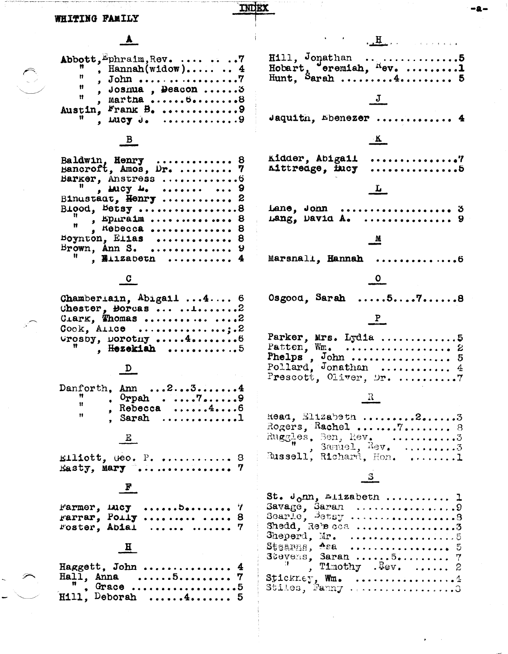| н (в е                                                                                                                                                                                                                                                                                                                                                                                       |                                                                                                      |
|----------------------------------------------------------------------------------------------------------------------------------------------------------------------------------------------------------------------------------------------------------------------------------------------------------------------------------------------------------------------------------------------|------------------------------------------------------------------------------------------------------|
| WHITING FAMILY                                                                                                                                                                                                                                                                                                                                                                               |                                                                                                      |
|                                                                                                                                                                                                                                                                                                                                                                                              | <u>Here is a series</u>                                                                              |
| Abbott, Ephraim, Rev.   7<br>, Hannah(widow) $\ldots$ 4<br>Ħ<br>u<br>, Joshua, Deacon  3<br>Ħ<br>, Martna 8<br>Austin, Frank B. 9                                                                                                                                                                                                                                                            | $\texttt{Hill}$ , Jonathan 5<br>Hobart, eremiah, Rev. 1<br>Hunt, Sarah 4 5                           |
| . Lucy $J_2$ 9                                                                                                                                                                                                                                                                                                                                                                               | Jaquitn, Ebenezer  4                                                                                 |
| $\overline{B}$                                                                                                                                                                                                                                                                                                                                                                               | $\mathbf{K}$                                                                                         |
| Baldwin, Henry  8<br>Bancroft, Amos, Dr.  7<br>Barker, Anstress  6<br>$\frac{1}{2}$ $\frac{1}{2}$ and $\frac{1}{2}$ $\frac{1}{2}$ $\frac{1}{2}$ $\frac{1}{2}$ $\frac{1}{2}$ $\frac{1}{2}$ $\frac{1}{2}$ $\frac{1}{2}$ $\frac{1}{2}$ $\frac{1}{2}$ $\frac{1}{2}$ $\frac{1}{2}$ $\frac{1}{2}$ $\frac{1}{2}$ $\frac{1}{2}$ $\frac{1}{2}$ $\frac{1}{2}$ $\frac{1}{2}$ $\frac{1}{2}$ $\frac{1}{2$ | Kidder, Abigail ?<br>. 5<br>Aittreage, fucy<br>$\mathbf{L}$                                          |
| Binustadt, Henry  2<br>Blood, Betsy8<br>$\frac{1}{n}$ , spiraim  8<br>$,$ Kebecca  8                                                                                                                                                                                                                                                                                                         | Lane, John  3<br>Lang, David A.  9                                                                   |
| Boynton, Elias  8<br>Brown, Ann S.  9<br>$^{\text{H}}$ , Bilzabeth  4                                                                                                                                                                                                                                                                                                                        | $\mathbb{M}$<br>Marsnall, Hannah 6                                                                   |
|                                                                                                                                                                                                                                                                                                                                                                                              | $\bullet$                                                                                            |
| Chamberiain, Abigail  4 6<br>Chester, Borcas $\dots$<br>CLAPK, Thomas 2<br>$Cook,$ Alice ;.2<br>$Vrosby$ , $voroting$ $4$<br>, Hezekiah 5                                                                                                                                                                                                                                                    | $Osgood, Sarah$ $578$<br>$\frac{P}{1}$<br>Parker, Mrs. Lydia 5                                       |
| D                                                                                                                                                                                                                                                                                                                                                                                            | Prescott, Oliver, Dr. 7                                                                              |
| Danforth. Ann $2 \ldots 3 \ldots 4$<br>Ħ<br>$\sqrt{r}$ orpah $79$<br>Ħ<br>, Rebecca $\dots \dots 4 \dots 6$<br>Ħ<br>. Sarah 1                                                                                                                                                                                                                                                                | $\parallel \mathbf{R} \parallel$<br>Read, Elizabeth 23<br>Rogers, Rachel 7 8<br>Ruggles, Ben, Rev. 3 |
| Elliott, Geo. P.  8<br>Easty, Mary  7                                                                                                                                                                                                                                                                                                                                                        | Russell, Richard, Hon. 1                                                                             |
|                                                                                                                                                                                                                                                                                                                                                                                              | St. $J_0$ m, Elizabeth  1                                                                            |
| Farmer, $r = 1$ $r = 7$<br>$rarrar,$ Poily   8<br>roster, Abial   7                                                                                                                                                                                                                                                                                                                          | Shedd, Rebecca 3<br>Sheperd, Mr. $\ldots \ldots \ldots \ldots \ldots$                                |
|                                                                                                                                                                                                                                                                                                                                                                                              | Stevens, Saran 5 7                                                                                   |
| Haggett, John  4<br>Hall, Anna $5$ $7$<br>, Grace 5                                                                                                                                                                                                                                                                                                                                          | $\mathbb{R}$ , Timothy . Rev.  2<br>$\texttt{Stickney}, \texttt{Wm}.$ 4<br>Stiles, Fanny 3           |
| $H111$ , Deborah $4$ 5                                                                                                                                                                                                                                                                                                                                                                       |                                                                                                      |

-a-